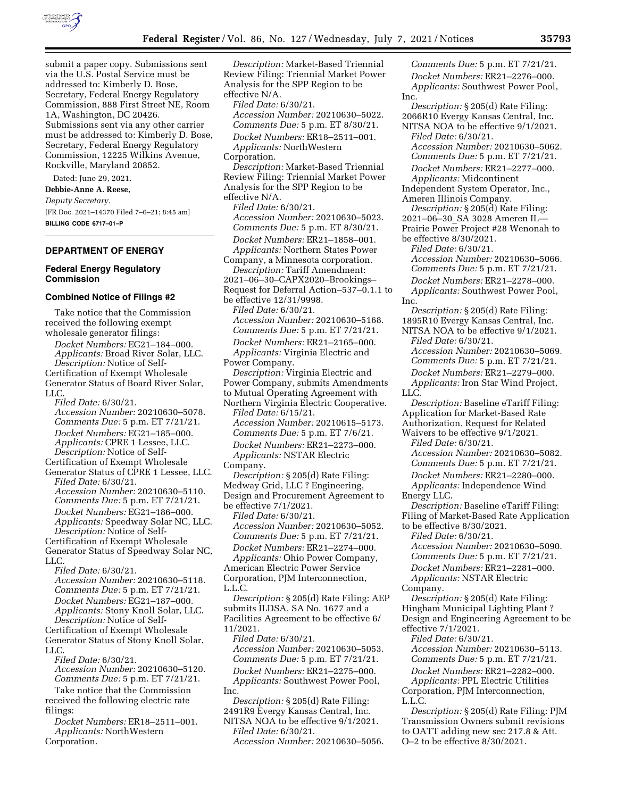

submit a paper copy. Submissions sent via the U.S. Postal Service must be addressed to: Kimberly D. Bose, Secretary, Federal Energy Regulatory Commission, 888 First Street NE, Room 1A, Washington, DC 20426. Submissions sent via any other carrier must be addressed to: Kimberly D. Bose, Secretary, Federal Energy Regulatory Commission, 12225 Wilkins Avenue, Rockville, Maryland 20852.

Dated: June 29, 2021.

**Debbie-Anne A. Reese,**  *Deputy Secretary.*  [FR Doc. 2021–14370 Filed 7–6–21; 8:45 am] **BILLING CODE 6717–01–P** 

#### **DEPARTMENT OF ENERGY**

## **Federal Energy Regulatory Commission**

## **Combined Notice of Filings #2**

Take notice that the Commission received the following exempt wholesale generator filings:

*Docket Numbers:* EG21–184–000. *Applicants:* Broad River Solar, LLC. *Description:* Notice of Self-Certification of Exempt Wholesale Generator Status of Board River Solar, LLC.

*Filed Date:* 6/30/21. *Accession Number:* 20210630–5078. *Comments Due:* 5 p.m. ET 7/21/21. *Docket Numbers:* EG21–185–000. *Applicants:* CPRE 1 Lessee, LLC. *Description:* Notice of Self-

Certification of Exempt Wholesale Generator Status of CPRE 1 Lessee, LLC. *Filed Date:* 6/30/21. *Accession Number:* 20210630–5110. *Comments Due:* 5 p.m. ET 7/21/21. *Docket Numbers:* EG21–186–000. *Applicants:* Speedway Solar NC, LLC. *Description:* Notice of Self-

Certification of Exempt Wholesale Generator Status of Speedway Solar NC, LLC.

*Filed Date:* 6/30/21. *Accession Number:* 20210630–5118. *Comments Due:* 5 p.m. ET 7/21/21. *Docket Numbers:* EG21–187–000. *Applicants:* Stony Knoll Solar, LLC. *Description:* Notice of Self-Certification of Exempt Wholesale

Generator Status of Stony Knoll Solar, LLC.

*Filed Date:* 6/30/21.

*Accession Number:* 20210630–5120. *Comments Due:* 5 p.m. ET 7/21/21.

Take notice that the Commission received the following electric rate filings:

*Docket Numbers:* ER18–2511–001. *Applicants:* NorthWestern Corporation.

*Description:* Market-Based Triennial Review Filing: Triennial Market Power Analysis for the SPP Region to be effective N/A. *Filed Date:* 6/30/21. *Accession Number:* 20210630–5022. *Comments Due:* 5 p.m. ET 8/30/21. *Docket Numbers:* ER18–2511–001. *Applicants:* NorthWestern Corporation. *Description:* Market-Based Triennial Review Filing: Triennial Market Power Analysis for the SPP Region to be effective N/A. *Filed Date:* 6/30/21. *Accession Number:* 20210630–5023. *Comments Due:* 5 p.m. ET 8/30/21. *Docket Numbers:* ER21–1858–001. *Applicants:* Northern States Power Company, a Minnesota corporation. *Description:* Tariff Amendment: 2021–06–30–CAPX2020–Brookings– Request for Deferral Action–537–0.1.1 to be effective 12/31/9998. *Filed Date:* 6/30/21. *Accession Number:* 20210630–5168. *Comments Due:* 5 p.m. ET 7/21/21. *Docket Numbers:* ER21–2165–000. *Applicants:* Virginia Electric and Power Company. *Description:* Virginia Electric and Power Company, submits Amendments to Mutual Operating Agreement with Northern Virginia Electric Cooperative. *Filed Date:* 6/15/21. *Accession Number:* 20210615–5173. *Comments Due:* 5 p.m. ET 7/6/21. *Docket Numbers:* ER21–2273–000. *Applicants:* NSTAR Electric Company. *Description:* § 205(d) Rate Filing: Medway Grid, LLC ? Engineering, Design and Procurement Agreement to be effective 7/1/2021. *Filed Date:* 6/30/21. *Accession Number:* 20210630–5052. *Comments Due:* 5 p.m. ET 7/21/21. *Docket Numbers:* ER21–2274–000. *Applicants:* Ohio Power Company, American Electric Power Service Corporation, PJM Interconnection, L.L.C. *Description:* § 205(d) Rate Filing: AEP submits ILDSA, SA No. 1677 and a Facilities Agreement to be effective 6/ 11/2021. *Filed Date:* 6/30/21. *Accession Number:* 20210630–5053. *Comments Due:* 5 p.m. ET 7/21/21. *Docket Numbers:* ER21–2275–000. *Applicants:* Southwest Power Pool, Inc. *Description:* § 205(d) Rate Filing: 2491R9 Evergy Kansas Central, Inc. NITSA NOA to be effective 9/1/2021. *Filed Date:* 6/30/21. *Accession Number:* 20210630–5056.

*Applicants:* Southwest Power Pool, Inc. *Description:* § 205(d) Rate Filing: 2066R10 Evergy Kansas Central, Inc. NITSA NOA to be effective 9/1/2021. *Filed Date:* 6/30/21. *Accession Number:* 20210630–5062. *Comments Due:* 5 p.m. ET 7/21/21. *Docket Numbers:* ER21–2277–000. *Applicants:* Midcontinent Independent System Operator, Inc., Ameren Illinois Company. *Description:* § 205(d) Rate Filing: 2021–06–30\_SA 3028 Ameren IL— Prairie Power Project #28 Wenonah to be effective 8/30/2021. *Filed Date:* 6/30/21. *Accession Number:* 20210630–5066. *Comments Due:* 5 p.m. ET 7/21/21. *Docket Numbers:* ER21–2278–000. *Applicants:* Southwest Power Pool, Inc. *Description:* § 205(d) Rate Filing: 1895R10 Evergy Kansas Central, Inc. NITSA NOA to be effective 9/1/2021. *Filed Date:* 6/30/21. *Accession Number:* 20210630–5069. *Comments Due:* 5 p.m. ET 7/21/21. *Docket Numbers:* ER21–2279–000. *Applicants:* Iron Star Wind Project, LLC. *Description:* Baseline eTariff Filing: Application for Market-Based Rate Authorization, Request for Related Waivers to be effective 9/1/2021. *Filed Date:* 6/30/21. *Accession Number:* 20210630–5082. *Comments Due:* 5 p.m. ET 7/21/21. *Docket Numbers:* ER21–2280–000. *Applicants:* Independence Wind Energy LLC. *Description:* Baseline eTariff Filing: Filing of Market-Based Rate Application to be effective 8/30/2021. *Filed Date:* 6/30/21. *Accession Number:* 20210630–5090. *Comments Due:* 5 p.m. ET 7/21/21. *Docket Numbers:* ER21–2281–000. *Applicants:* NSTAR Electric Company. *Description:* § 205(d) Rate Filing: Hingham Municipal Lighting Plant ? Design and Engineering Agreement to be effective 7/1/2021. *Filed Date:* 6/30/21. *Accession Number:* 20210630–5113. *Comments Due:* 5 p.m. ET 7/21/21. *Docket Numbers:* ER21–2282–000. *Applicants:* PPL Electric Utilities Corporation, PJM Interconnection, L.L.C. *Description:* § 205(d) Rate Filing: PJM

*Comments Due:* 5 p.m. ET 7/21/21. *Docket Numbers:* ER21–2276–000.

Transmission Owners submit revisions to OATT adding new sec 217.8 & Att. O–2 to be effective 8/30/2021.